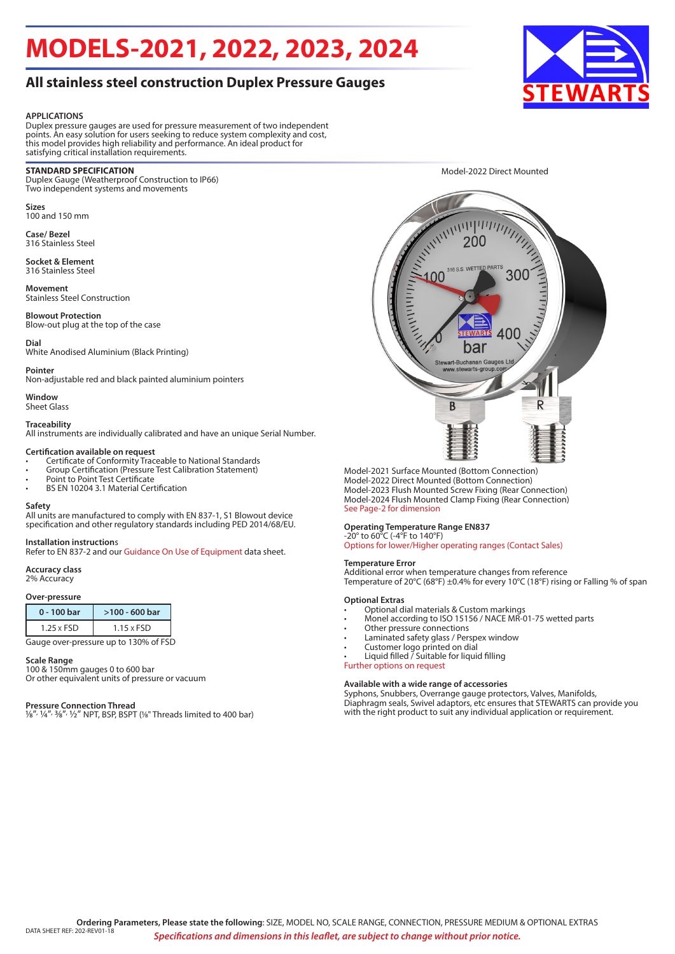# **MODELS-2021, 2022, 2023, 2024**

## **All stainless steel construction Duplex Pressure Gauges**

#### **APPLICATIONS**

Duplex pressure gauges are used for pressure measurement of two independent points. An easy solution for users seeking to reduce system complexity and cost, this model provides high reliability and performance. An ideal product for satisfying critical installation requirements.

#### **STANDARD SPECIFICATION**

Duplex Gauge (Weatherproof Construction to IP66) Two independent systems and movements

**Sizes** 100 and 150 mm

**Case/ Bezel** 316 Stainless Steel

**Socket & Element** 316 Stainless Steel

**Movement** Stainless Steel Construction

**Blowout Protection** Blow-out plug at the top of the case

#### **Dial**

White Anodised Aluminium (Black Printing)

#### **Pointer**

Non-adjustable red and black painted aluminium pointers

#### **Window** Sheet Glass

### **Traceability**

All instruments are individually calibrated and have an unique Serial Number.

#### **Certification available on request**

- Certificate of Conformity Traceable to National Standards
- Group Certification (Pressure Test Calibration Statement)
- Point to Point Test Certificate
- BS EN 10204 3.1 Material Certification

#### **Safety**

All units are manufactured to comply with EN 837-1, S1 Blowout device specification and other regulatory standards including PED 2014/68/EU.

#### **Installation instruction**s

Refer to EN 837-2 and our Guidance On Use of Equipment data sheet.

#### **Accuracy class**

2% Accuracy

#### **Over-pressure**

| 0 - 100 bar       | $>100 - 600$ bar  |
|-------------------|-------------------|
| $1.25 \times FSD$ | $1.15 \times FSD$ |
|                   |                   |

Gauge over-pressure up to 130% of FSD

#### **Scale Range**

100 & 150mm gauges 0 to 600 bar Or other equivalent units of pressure or vacuum

#### **Pressure Connection Thread**

1/8", 1/4", 3/8", 1/2" NPT, BSP, BSPT (1/8" Threads limited to 400 bar)



Model-2021 Surface Mounted (Bottom Connection) Model-2022 Direct Mounted (Bottom Connection) Model-2023 Flush Mounted Screw Fixing (Rear Connection) Model-2024 Flush Mounted Clamp Fixing (Rear Connection) See Page-2 for dimension

#### **Operating Temperature Range EN837**

-20° to 60°C (-4°F to 140°F) Options for lower/Higher operating ranges (Contact Sales)

#### **Temperature Error**

Additional error when temperature changes from reference Temperature of 20°C (68°F) ±0.4% for every 10°C (18°F) rising or Falling % of span

#### **Optional Extras**

- Optional dial materials & Custom markings
- Monel according to ISO 15156 / NACE MR-01-75 wetted parts
- Other pressure connections
- Laminated safety glass / Perspex window
- Customer logo printed on dial
- Liquid filled / Suitable for liquid filling

Further options on request

#### **Available with a wide range of accessories**

Syphons, Snubbers, Overrange gauge protectors, Valves, Manifolds, Diaphragm seals, Swivel adaptors, etc ensures that STEWARTS can provide you with the right product to suit any individual application or requirement.



Model-2022 Direct Mounted